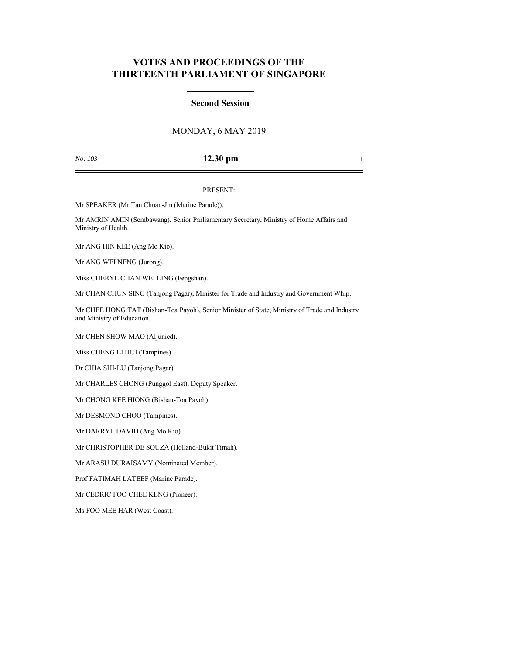# **VOTES AND PROCEEDINGS OF THE THIRTEENTH PARLIAMENT OF SINGAPORE**

## **Second Session**

# MONDAY, 6 MAY 2019

## *No. 103* **12.30 pm** 1

### PRESENT:

Mr SPEAKER (Mr Tan Chuan-Jin (Marine Parade)).

Mr AMRIN AMIN (Sembawang), Senior Parliamentary Secretary, Ministry of Home Affairs and Ministry of Health.

Mr ANG HIN KEE (Ang Mo Kio).

Mr ANG WEI NENG (Jurong).

Miss CHERYL CHAN WEI LING (Fengshan).

Mr CHAN CHUN SING (Tanjong Pagar), Minister for Trade and Industry and Government Whip.

Mr CHEE HONG TAT (Bishan-Toa Payoh), Senior Minister of State, Ministry of Trade and Industry and Ministry of Education.

Mr CHEN SHOW MAO (Aljunied).

Miss CHENG LI HUI (Tampines).

Dr CHIA SHI-LU (Tanjong Pagar).

Mr CHARLES CHONG (Punggol East), Deputy Speaker.

Mr CHONG KEE HIONG (Bishan-Toa Payoh).

Mr DESMOND CHOO (Tampines).

Mr DARRYL DAVID (Ang Mo Kio).

Mr CHRISTOPHER DE SOUZA (Holland-Bukit Timah).

Mr ARASU DURAISAMY (Nominated Member).

Prof FATIMAH LATEEF (Marine Parade).

Mr CEDRIC FOO CHEE KENG (Pioneer).

Ms FOO MEE HAR (West Coast).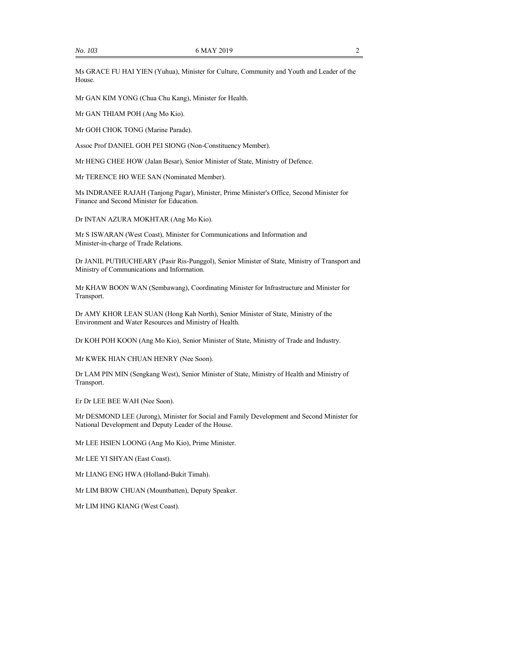Ms GRACE FU HAI YIEN (Yuhua), Minister for Culture, Community and Youth and Leader of the House.

Mr GAN KIM YONG (Chua Chu Kang), Minister for Health.

Mr GAN THIAM POH (Ang Mo Kio).

Mr GOH CHOK TONG (Marine Parade).

Assoc Prof DANIEL GOH PEI SIONG (Non-Constituency Member).

Mr HENG CHEE HOW (Jalan Besar), Senior Minister of State, Ministry of Defence.

Mr TERENCE HO WEE SAN (Nominated Member).

Ms INDRANEE RAJAH (Tanjong Pagar), Minister, Prime Minister's Office, Second Minister for Finance and Second Minister for Education.

Dr INTAN AZURA MOKHTAR (Ang Mo Kio).

Mr S ISWARAN (West Coast), Minister for Communications and Information and Minister-in-charge of Trade Relations.

Dr JANIL PUTHUCHEARY (Pasir Ris-Punggol), Senior Minister of State, Ministry of Transport and Ministry of Communications and Information.

Mr KHAW BOON WAN (Sembawang), Coordinating Minister for Infrastructure and Minister for Transport.

Dr AMY KHOR LEAN SUAN (Hong Kah North), Senior Minister of State, Ministry of the Environment and Water Resources and Ministry of Health.

Dr KOH POH KOON (Ang Mo Kio), Senior Minister of State, Ministry of Trade and Industry.

Mr KWEK HIAN CHUAN HENRY (Nee Soon).

Dr LAM PIN MIN (Sengkang West), Senior Minister of State, Ministry of Health and Ministry of Transport.

Er Dr LEE BEE WAH (Nee Soon).

Mr DESMOND LEE (Jurong), Minister for Social and Family Development and Second Minister for National Development and Deputy Leader of the House.

Mr LEE HSIEN LOONG (Ang Mo Kio), Prime Minister.

Mr LEE YI SHYAN (East Coast).

Mr LIANG ENG HWA (Holland-Bukit Timah).

Mr LIM BIOW CHUAN (Mountbatten), Deputy Speaker.

Mr LIM HNG KIANG (West Coast).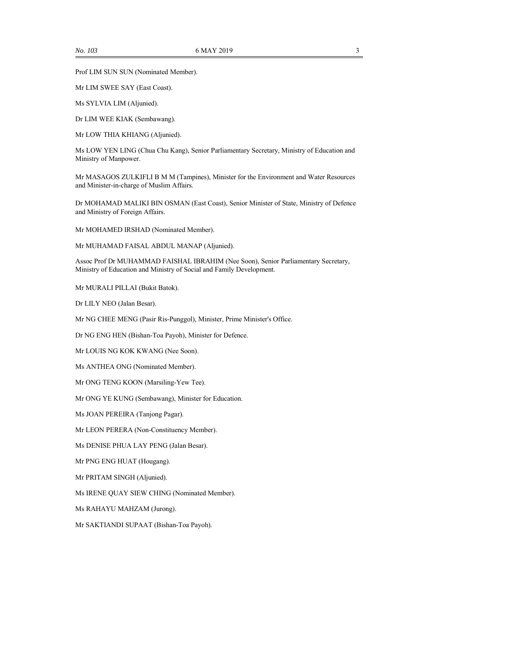Prof LIM SUN SUN (Nominated Member).

Mr LIM SWEE SAY (East Coast).

Ms SYLVIA LIM (Aljunied).

Dr LIM WEE KIAK (Sembawang).

Mr LOW THIA KHIANG (Aljunied).

Ms LOW YEN LING (Chua Chu Kang), Senior Parliamentary Secretary, Ministry of Education and Ministry of Manpower.

Mr MASAGOS ZULKIFLI B M M (Tampines), Minister for the Environment and Water Resources and Minister-in-charge of Muslim Affairs.

Dr MOHAMAD MALIKI BIN OSMAN (East Coast), Senior Minister of State, Ministry of Defence and Ministry of Foreign Affairs.

Mr MOHAMED IRSHAD (Nominated Member).

Mr MUHAMAD FAISAL ABDUL MANAP (Aljunied).

Assoc Prof Dr MUHAMMAD FAISHAL IBRAHIM (Nee Soon), Senior Parliamentary Secretary, Ministry of Education and Ministry of Social and Family Development.

Mr MURALI PILLAI (Bukit Batok).

Dr LILY NEO (Jalan Besar).

Mr NG CHEE MENG (Pasir Ris-Punggol), Minister, Prime Minister's Office.

Dr NG ENG HEN (Bishan-Toa Payoh), Minister for Defence.

Mr LOUIS NG KOK KWANG (Nee Soon).

Ms ANTHEA ONG (Nominated Member).

Mr ONG TENG KOON (Marsiling-Yew Tee).

Mr ONG YE KUNG (Sembawang), Minister for Education.

Ms JOAN PEREIRA (Tanjong Pagar).

Mr LEON PERERA (Non-Constituency Member).

Ms DENISE PHUA LAY PENG (Jalan Besar).

Mr PNG ENG HUAT (Hougang).

Mr PRITAM SINGH (Aljunied).

Ms IRENE QUAY SIEW CHING (Nominated Member).

Ms RAHAYU MAHZAM (Jurong).

Mr SAKTIANDI SUPAAT (Bishan-Toa Payoh).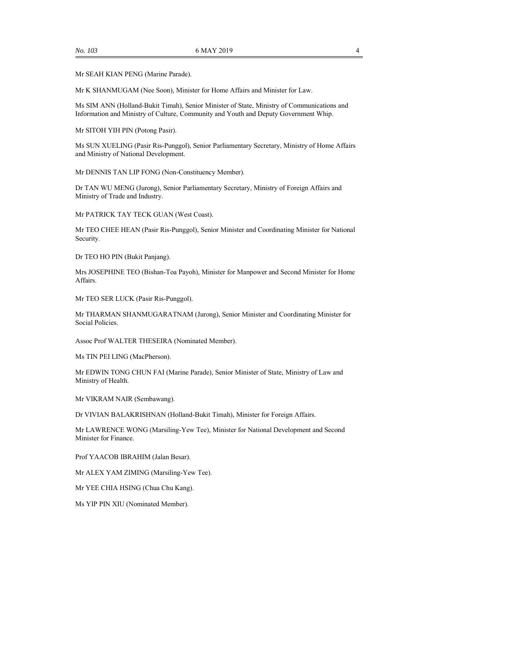Mr SEAH KIAN PENG (Marine Parade).

Mr K SHANMUGAM (Nee Soon), Minister for Home Affairs and Minister for Law.

Ms SIM ANN (Holland-Bukit Timah), Senior Minister of State, Ministry of Communications and Information and Ministry of Culture, Community and Youth and Deputy Government Whip.

Mr SITOH YIH PIN (Potong Pasir).

Ms SUN XUELING (Pasir Ris-Punggol), Senior Parliamentary Secretary, Ministry of Home Affairs and Ministry of National Development.

Mr DENNIS TAN LIP FONG (Non-Constituency Member).

Dr TAN WU MENG (Jurong), Senior Parliamentary Secretary, Ministry of Foreign Affairs and Ministry of Trade and Industry.

Mr PATRICK TAY TECK GUAN (West Coast).

Mr TEO CHEE HEAN (Pasir Ris-Punggol), Senior Minister and Coordinating Minister for National Security.

Dr TEO HO PIN (Bukit Panjang).

Mrs JOSEPHINE TEO (Bishan-Toa Payoh), Minister for Manpower and Second Minister for Home Affairs.

Mr TEO SER LUCK (Pasir Ris-Punggol).

Mr THARMAN SHANMUGARATNAM (Jurong), Senior Minister and Coordinating Minister for Social Policies.

Assoc Prof WALTER THESEIRA (Nominated Member).

Ms TIN PEI LING (MacPherson).

Mr EDWIN TONG CHUN FAI (Marine Parade), Senior Minister of State, Ministry of Law and Ministry of Health.

Mr VIKRAM NAIR (Sembawang).

Dr VIVIAN BALAKRISHNAN (Holland-Bukit Timah), Minister for Foreign Affairs.

Mr LAWRENCE WONG (Marsiling-Yew Tee), Minister for National Development and Second Minister for Finance.

Prof YAACOB IBRAHIM (Jalan Besar).

Mr ALEX YAM ZIMING (Marsiling-Yew Tee).

Mr YEE CHIA HSING (Chua Chu Kang).

Ms YIP PIN XIU (Nominated Member).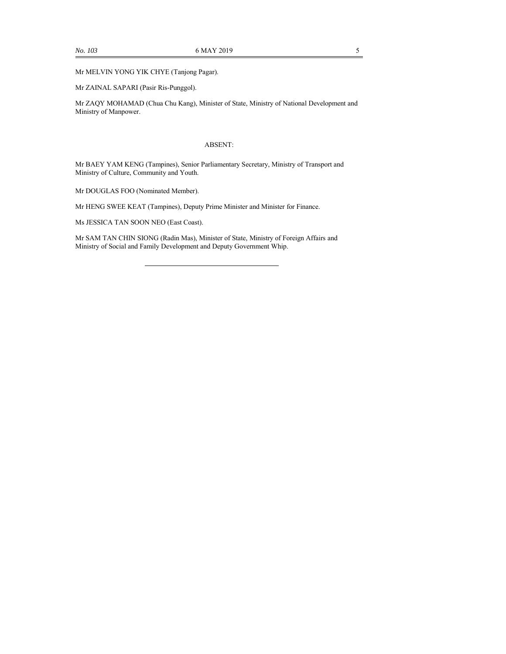Mr MELVIN YONG YIK CHYE (Tanjong Pagar).

Mr ZAINAL SAPARI (Pasir Ris-Punggol).

Mr ZAQY MOHAMAD (Chua Chu Kang), Minister of State, Ministry of National Development and Ministry of Manpower.

### ABSENT:

Mr BAEY YAM KENG (Tampines), Senior Parliamentary Secretary, Ministry of Transport and Ministry of Culture, Community and Youth.

Mr DOUGLAS FOO (Nominated Member).

Mr HENG SWEE KEAT (Tampines), Deputy Prime Minister and Minister for Finance.

Ms JESSICA TAN SOON NEO (East Coast).

Mr SAM TAN CHIN SIONG (Radin Mas), Minister of State, Ministry of Foreign Affairs and Ministry of Social and Family Development and Deputy Government Whip.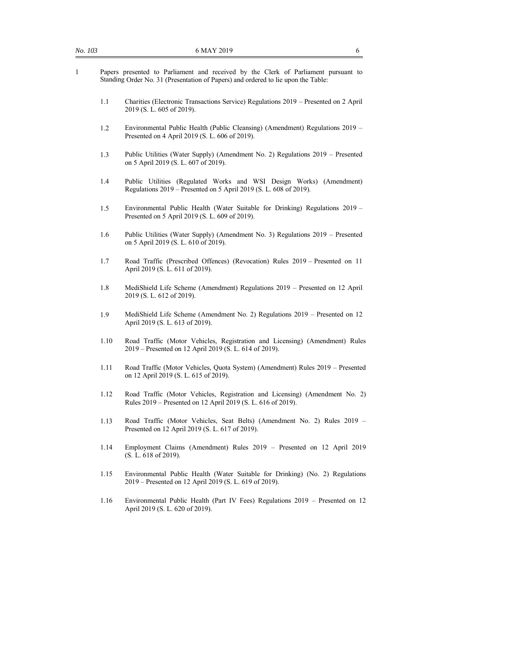- 1 Papers presented to Parliament and received by the Clerk of Parliament pursuant to Standing Order No. 31 (Presentation of Papers) and ordered to lie upon the Table:
	- 1.1 Charities (Electronic Transactions Service) Regulations 2019 Presented on 2 April 2019 (S. L. 605 of 2019).
	- 1.2 Environmental Public Health (Public Cleansing) (Amendment) Regulations 2019 Presented on 4 April 2019 (S. L. 606 of 2019).
	- 1.3 Public Utilities (Water Supply) (Amendment No. 2) Regulations 2019 Presented on 5 April 2019 (S. L. 607 of 2019).
	- 1.4 Public Utilities (Regulated Works and WSI Design Works) (Amendment) Regulations 2019 – Presented on 5 April 2019 (S. L. 608 of 2019).
	- 1.5 Environmental Public Health (Water Suitable for Drinking) Regulations 2019 Presented on 5 April 2019 (S. L. 609 of 2019).
	- 1.6 Public Utilities (Water Supply) (Amendment No. 3) Regulations 2019 Presented on 5 April 2019 (S. L. 610 of 2019).
	- 1.7 Road Traffic (Prescribed Offences) (Revocation) Rules 2019 Presented on 11 April 2019 (S. L. 611 of 2019).
	- 1.8 MediShield Life Scheme (Amendment) Regulations 2019 Presented on 12 April 2019 (S. L. 612 of 2019).
	- 1.9 MediShield Life Scheme (Amendment No. 2) Regulations 2019 Presented on 12 April 2019 (S. L. 613 of 2019).
	- 1.10 Road Traffic (Motor Vehicles, Registration and Licensing) (Amendment) Rules 2019 – Presented on 12 April 2019 (S. L. 614 of 2019).
	- 1.11 Road Traffic (Motor Vehicles, Quota System) (Amendment) Rules 2019 Presented on 12 April 2019 (S. L. 615 of 2019).
	- 1.12 Road Traffic (Motor Vehicles, Registration and Licensing) (Amendment No. 2) Rules 2019 – Presented on 12 April 2019 (S. L. 616 of 2019).
	- 1.13 Road Traffic (Motor Vehicles, Seat Belts) (Amendment No. 2) Rules 2019 Presented on 12 April 2019 (S. L. 617 of 2019).
	- 1.14 Employment Claims (Amendment) Rules 2019 Presented on 12 April 2019 (S. L. 618 of 2019).
	- 1.15 Environmental Public Health (Water Suitable for Drinking) (No. 2) Regulations 2019 – Presented on 12 April 2019 (S. L. 619 of 2019).
	- 1.16 Environmental Public Health (Part IV Fees) Regulations 2019 Presented on 12 April 2019 (S. L. 620 of 2019).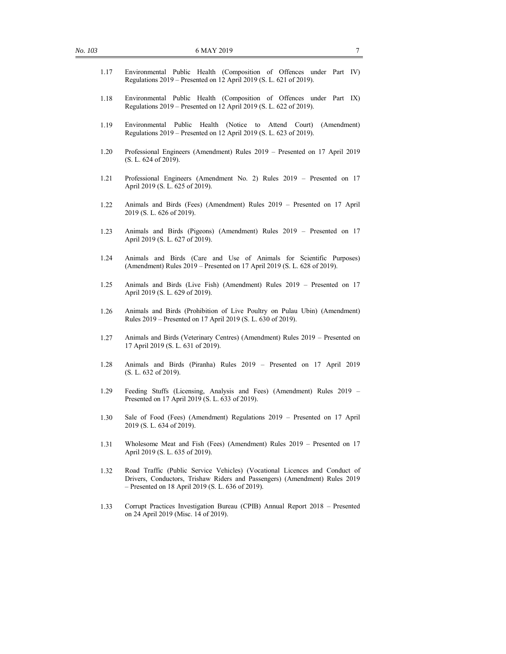| 1.17 | Environmental Public Health (Composition of Offences under Part IV)<br>Regulations 2019 – Presented on 12 April 2019 (S. L. 621 of 2019).                                                                       |
|------|-----------------------------------------------------------------------------------------------------------------------------------------------------------------------------------------------------------------|
| 1.18 | Environmental Public Health (Composition of Offences under Part IX)<br>Regulations 2019 – Presented on 12 April 2019 (S. L. 622 of 2019).                                                                       |
| 1.19 | Environmental<br>Public<br>Health (Notice to Attend Court)<br>(Amendment)<br>Regulations 2019 – Presented on 12 April 2019 (S. L. 623 of 2019).                                                                 |
| 1.20 | Professional Engineers (Amendment) Rules 2019 – Presented on 17 April 2019<br>(S. L. 624 of 2019).                                                                                                              |
| 1.21 | Professional Engineers (Amendment No. 2) Rules 2019 - Presented on 17<br>April 2019 (S. L. 625 of 2019).                                                                                                        |
| 1.22 | Animals and Birds (Fees) (Amendment) Rules 2019 - Presented on 17 April<br>2019 (S. L. 626 of 2019).                                                                                                            |
| 1.23 | Animals and Birds (Pigeons) (Amendment) Rules 2019 - Presented on 17<br>April 2019 (S. L. 627 of 2019).                                                                                                         |
| 1.24 | Animals and Birds (Care and Use of Animals for Scientific Purposes)<br>(Amendment) Rules 2019 – Presented on 17 April 2019 (S. L. 628 of 2019).                                                                 |
| 1.25 | Animals and Birds (Live Fish) (Amendment) Rules 2019 - Presented on 17<br>April 2019 (S. L. 629 of 2019).                                                                                                       |
| 1.26 | Animals and Birds (Prohibition of Live Poultry on Pulau Ubin) (Amendment)<br>Rules 2019 – Presented on 17 April 2019 (S. L. 630 of 2019).                                                                       |
| 1.27 | Animals and Birds (Veterinary Centres) (Amendment) Rules 2019 - Presented on<br>17 April 2019 (S. L. 631 of 2019).                                                                                              |
| 1.28 | Animals and Birds (Piranha) Rules 2019 - Presented on 17 April 2019<br>(S. L. 632 of 2019).                                                                                                                     |
| 1.29 | Feeding Stuffs (Licensing, Analysis and Fees) (Amendment) Rules 2019 -<br>Presented on 17 April 2019 (S. L. 633 of 2019).                                                                                       |
| 1.30 | Sale of Food (Fees) (Amendment) Regulations 2019 - Presented on 17 April<br>2019 (S. L. 634 of 2019).                                                                                                           |
| 1.31 | Wholesome Meat and Fish (Fees) (Amendment) Rules 2019 - Presented on 17<br>April 2019 (S. L. 635 of 2019).                                                                                                      |
| 1.32 | Road Traffic (Public Service Vehicles) (Vocational Licences and Conduct of<br>Drivers, Conductors, Trishaw Riders and Passengers) (Amendment) Rules 2019<br>$-$ Presented on 18 April 2019 (S. L. 636 of 2019). |
| 1.33 | Corrupt Practices Investigation Bureau (CPIB) Annual Report 2018 - Presented<br>on 24 April 2019 (Misc. 14 of 2019).                                                                                            |
|      |                                                                                                                                                                                                                 |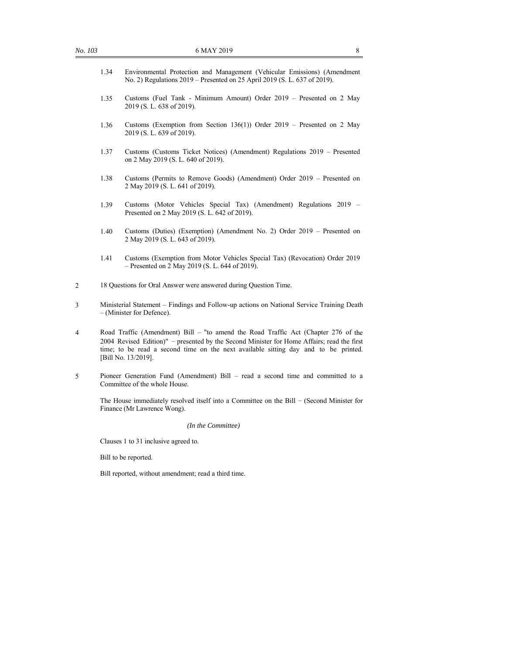- 1.34 Environmental Protection and Management (Vehicular Emissions) (Amendment No. 2) Regulations 2019 – Presented on 25 April 2019 (S. L. 637 of 2019).
- 1.35 Customs (Fuel Tank Minimum Amount) Order 2019 Presented on 2 May 2019 (S. L. 638 of 2019).
- 1.36 Customs (Exemption from Section 136(1)) Order 2019 Presented on 2 May 2019 (S. L. 639 of 2019).
- 1.37 Customs (Customs Ticket Notices) (Amendment) Regulations 2019 Presented on 2 May 2019 (S. L. 640 of 2019).
- 1.38 Customs (Permits to Remove Goods) (Amendment) Order 2019 Presented on 2 May 2019 (S. L. 641 of 2019).
- 1.39 Customs (Motor Vehicles Special Tax) (Amendment) Regulations 2019 Presented on 2 May 2019 (S. L. 642 of 2019).
- 1.40 Customs (Duties) (Exemption) (Amendment No. 2) Order 2019 Presented on 2 May 2019 (S. L. 643 of 2019).
- 1.41 Customs (Exemption from Motor Vehicles Special Tax) (Revocation) Order 2019 – Presented on 2 May 2019 (S. L. 644 of 2019).
- 2 18 Questions for Oral Answer were answered during Question Time.
- 3 Ministerial Statement Findings and Follow-up actions on National Service Training Death – (Minister for Defence).
- 4 Road Traffic (Amendment) Bill "to amend the Road Traffic Act (Chapter 276 of the 2004 Revised Edition)" – presented by the Second Minister for Home Affairs; read the first time; to be read a second time on the next available sitting day and to be printed. [Bill No. 13/2019].
- 5 Pioneer Generation Fund (Amendment) Bill read a second time and committed to a Committee of the whole House.

The House immediately resolved itself into a Committee on the Bill – (Second Minister for Finance (Mr Lawrence Wong).

*(In the Committee)*

Clauses 1 to 31 inclusive agreed to.

Bill to be reported.

Bill reported, without amendment; read a third time.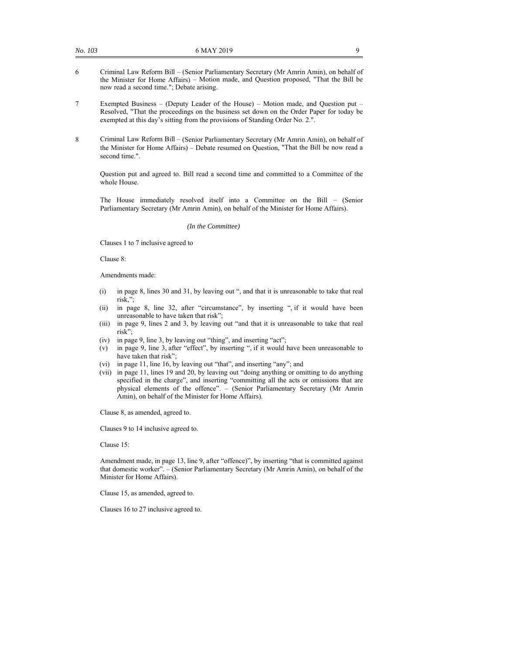- 6 Criminal Law Reform Bill (Senior Parliamentary Secretary (Mr Amrin Amin), on behalf of the Minister for Home Affairs) – Motion made, and Question proposed, "That the Bill be now read a second time."; Debate arising.
- 7 Exempted Business (Deputy Leader of the House) Motion made, and Question put Resolved, "That the proceedings on the business set down on the Order Paper for today be exempted at this day's sitting from the provisions of Standing Order No. 2.".
- 8 Criminal Law Reform Bill (Senior Parliamentary Secretary (Mr Amrin Amin), on behalf of the Minister for Home Affairs) – Debate resumed on Question, "That the Bill be now read a second time.".

Question put and agreed to. Bill read a second time and committed to a Committee of the whole House.

The House immediately resolved itself into a Committee on the Bill – (Senior Parliamentary Secretary (Mr Amrin Amin), on behalf of the Minister for Home Affairs).

#### *(In the Committee)*

Clauses 1 to 7 inclusive agreed to

Clause 8:

Amendments made:

- (i) in page 8, lines 30 and 31, by leaving out ", and that it is unreasonable to take that real risk,";
- (ii) in page 8, line 32, after "circumstance", by inserting ", if it would have been unreasonable to have taken that risk";
- (iii) in page 9, lines 2 and 3, by leaving out "and that it is unreasonable to take that real risk";
- (iv) in page 9, line 3, by leaving out "thing", and inserting "act";
- (v) in page 9, line 3, after "effect", by inserting ", if it would have been unreasonable to have taken that risk";
- (vi) in page 11, line 16, by leaving out "that", and inserting "any"; and
- (vii) in page 11, lines 19 and 20, by leaving out "doing anything or omitting to do anything specified in the charge", and inserting "committing all the acts or omissions that are physical elements of the offence". – (Senior Parliamentary Secretary (Mr Amrin Amin), on behalf of the Minister for Home Affairs).

Clause 8, as amended, agreed to.

Clauses 9 to 14 inclusive agreed to.

Clause 15:

Amendment made, in page 13, line 9, after "offence)", by inserting "that is committed against that domestic worker". – (Senior Parliamentary Secretary (Mr Amrin Amin), on behalf of the Minister for Home Affairs).

Clause 15, as amended, agreed to.

Clauses 16 to 27 inclusive agreed to.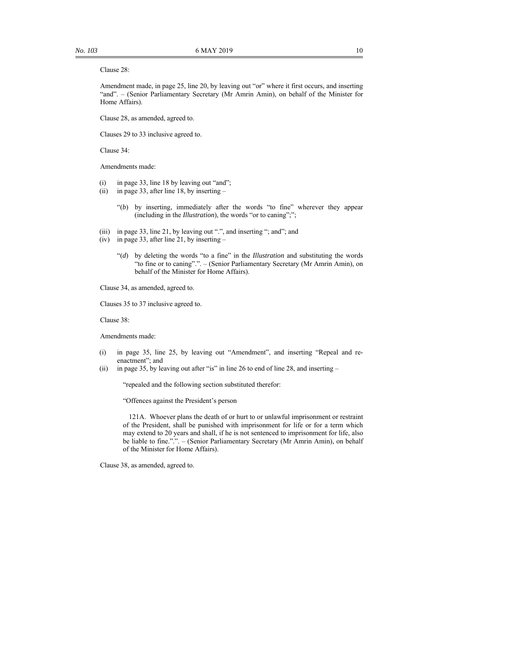#### Clause 28:

Amendment made, in page 25, line 20, by leaving out "or" where it first occurs, and inserting "and". – (Senior Parliamentary Secretary (Mr Amrin Amin), on behalf of the Minister for Home Affairs).

Clause 28, as amended, agreed to.

Clauses 29 to 33 inclusive agreed to.

Clause 34:

Amendments made:

- (i) in page 33, line 18 by leaving out "and";
- (ii) in page 33, after line 18, by inserting
	- "(*b*) by inserting, immediately after the words "to fine" wherever they appear (including in the *Illustration*), the words "or to caning";";
- (iii) in page 33, line 21, by leaving out ".", and inserting "; and"; and
- (iv) in page 33, after line 21, by inserting
	- "(*d*) by deleting the words "to a fine" in the *Illustration* and substituting the words "to fine or to caning".". – (Senior Parliamentary Secretary (Mr Amrin Amin), on behalf of the Minister for Home Affairs).

Clause 34, as amended, agreed to.

Clauses 35 to 37 inclusive agreed to.

Clause 38:

Amendments made:

- (i) in page 35, line 25, by leaving out "Amendment", and inserting "Repeal and reenactment"; and
- (ii) in page 35, by leaving out after "is" in line 26 to end of line 28, and inserting –

"repealed and the following section substituted therefor:

"Offences against the President's person

121A. Whoever plans the death of or hurt to or unlawful imprisonment or restraint of the President, shall be punished with imprisonment for life or for a term which may extend to 20 years and shall, if he is not sentenced to imprisonment for life, also be liable to fine.".". – (Senior Parliamentary Secretary (Mr Amrin Amin), on behalf of the Minister for Home Affairs).

Clause 38, as amended, agreed to.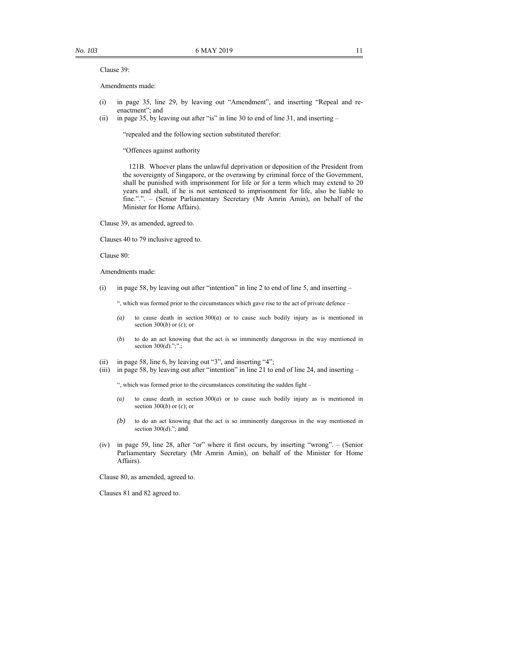#### Clause 39:

Amendments made:

- (i) in page 35, line 29, by leaving out "Amendment", and inserting "Repeal and reenactment"; and
- (ii) in page 35, by leaving out after "is" in line 30 to end of line 31, and inserting –

"repealed and the following section substituted therefor:

"Offences against authority

121B. Whoever plans the unlawful deprivation or deposition of the President from the sovereignty of Singapore, or the overawing by criminal force of the Government, shall be punished with imprisonment for life or for a term which may extend to 20 years and shall, if he is not sentenced to imprisonment for life, also be liable to fine.".". – (Senior Parliamentary Secretary (Mr Amrin Amin), on behalf of the Minister for Home Affairs).

Clause 39, as amended, agreed to.

Clauses 40 to 79 inclusive agreed to.

Clause 80:

Amendments made:

(i) in page 58, by leaving out after "intention" in line 2 to end of line 5, and inserting –

", which was formed prior to the circumstances which gave rise to the act of private defence –

- *(a)* to cause death in section 300(*a*) or to cause such bodily injury as is mentioned in section 300(*b*) or (*c*); or
- (*b*) to do an act knowing that the act is so imminently dangerous in the way mentioned in section 300(*d*).";".;
- (ii) in page 58, line 6, by leaving out "3", and inserting "4";
- (iii) in page 58, by leaving out after "intention" in line 21 to end of line 24, and inserting  $-$

", which was formed prior to the circumstances constituting the sudden fight –

- *(a)* to cause death in section 300(*a*) or to cause such bodily injury as is mentioned in section 300(*b*) or (*c*); or
- *(b)* to do an act knowing that the act is so imminently dangerous in the way mentioned in section 300(*d*)."; and
- (iv) in page 59, line 28, after "or" where it first occurs, by inserting "wrong". (Senior Parliamentary Secretary (Mr Amrin Amin), on behalf of the Minister for Home Affairs).

Clause 80, as amended, agreed to.

Clauses 81 and 82 agreed to.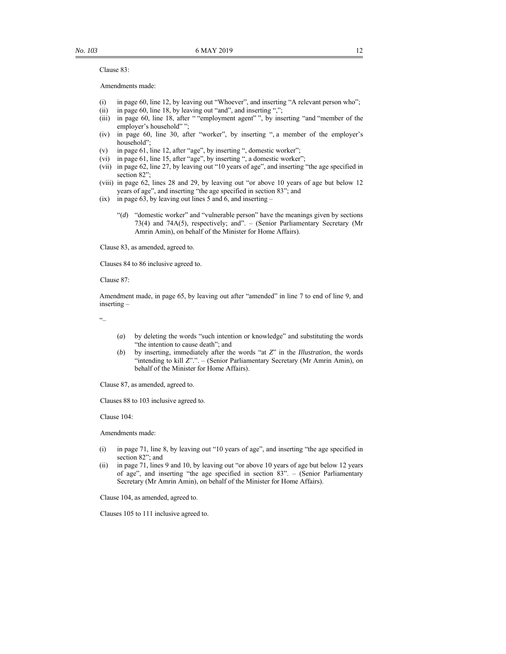Clause 83:

Amendments made:

- (i) in page 60, line 12, by leaving out "Whoever", and inserting "A relevant person who";
- (ii) in page 60, line 18, by leaving out "and", and inserting ",";
- (iii) in page 60, line 18, after " "employment agent" ", by inserting "and "member of the employer's household" ";
- (iv) in page 60, line 30, after "worker", by inserting ", a member of the employer's household";
- (v) in page 61, line 12, after "age", by inserting ", domestic worker";
- (vi) in page 61, line 15, after "age", by inserting ", a domestic worker";
- (vii) in page 62, line 27, by leaving out "10 years of age", and inserting "the age specified in section 82";
- (viii) in page 62, lines 28 and 29, by leaving out "or above 10 years of age but below 12 years of age", and inserting "the age specified in section 83"; and
- (ix) in page  $63$ , by leaving out lines 5 and 6, and inserting
	- "(*d*) "domestic worker" and "vulnerable person" have the meanings given by sections 73(4) and 74A(5), respectively; and". – (Senior Parliamentary Secretary (Mr Amrin Amin), on behalf of the Minister for Home Affairs).

Clause 83, as amended, agreed to.

Clauses 84 to 86 inclusive agreed to.

Clause 87:

Amendment made, in page 65, by leaving out after "amended" in line 7 to end of line 9, and inserting –

"–

- (*a*) by deleting the words "such intention or knowledge" and substituting the words "the intention to cause death"; and
- (*b*) by inserting, immediately after the words "at *Z*" in the *Illustration*, the words "intending to kill *Z*".". – (Senior Parliamentary Secretary (Mr Amrin Amin), on behalf of the Minister for Home Affairs).

Clause 87, as amended, agreed to.

Clauses 88 to 103 inclusive agreed to.

Clause 104:

Amendments made:

- (i) in page 71, line 8, by leaving out "10 years of age", and inserting "the age specified in section 82"; and
- (ii) in page 71, lines 9 and 10, by leaving out "or above 10 years of age but below 12 years of age", and inserting "the age specified in section 83". – (Senior Parliamentary Secretary (Mr Amrin Amin), on behalf of the Minister for Home Affairs).

Clause 104, as amended, agreed to.

Clauses 105 to 111 inclusive agreed to.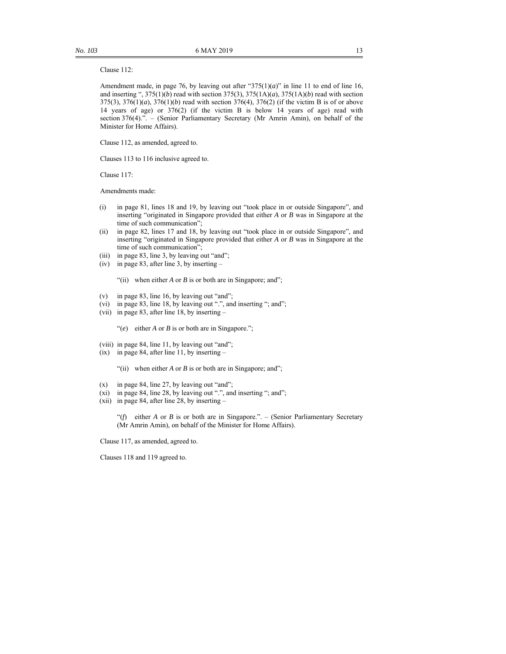#### Clause 112:

Amendment made, in page 76, by leaving out after "375(1)(*a*)" in line 11 to end of line 16, and inserting ", 375(1)(*b*) read with section 375(3), 375(1A)(*a*), 375(1A)(*b*) read with section 375(3), 376(1)(*a*), 376(1)(*b*) read with section 376(4), 376(2) (if the victim B is of or above 14 years of age) or 376(2) (if the victim B is below 14 years of age) read with section 376(4).". – (Senior Parliamentary Secretary (Mr Amrin Amin), on behalf of the Minister for Home Affairs).

Clause 112, as amended, agreed to.

Clauses 113 to 116 inclusive agreed to.

Clause 117:

Amendments made:

- (i) in page 81, lines 18 and 19, by leaving out "took place in or outside Singapore", and inserting "originated in Singapore provided that either *A* or *B* was in Singapore at the time of such communication";
- (ii) in page 82, lines 17 and 18, by leaving out "took place in or outside Singapore", and inserting "originated in Singapore provided that either *A* or *B* was in Singapore at the time of such communication";
- (iii) in page 83, line 3, by leaving out "and";
- (iv) in page 83, after line 3, by inserting –

"(ii) when either *A* or *B* is or both are in Singapore; and";

- (v) in page 83, line 16, by leaving out "and";
- (vi) in page 83, line 18, by leaving out ".", and inserting "; and";
- (vii) in page 83, after line 18, by inserting –

"(*e*) either *A* or *B* is or both are in Singapore.";

- (viii) in page 84, line 11, by leaving out "and";
- (ix) in page 84, after line 11, by inserting –

"(ii) when either *A* or *B* is or both are in Singapore; and";

- (x) in page 84, line 27, by leaving out "and";
- (xi) in page 84, line 28, by leaving out ".", and inserting "; and";
- (xii) in page 84, after line 28, by inserting  $-$

"( $f$ ) either *A* or *B* is or both are in Singapore.". – (Senior Parliamentary Secretary (Mr Amrin Amin), on behalf of the Minister for Home Affairs).

Clause 117, as amended, agreed to.

Clauses 118 and 119 agreed to.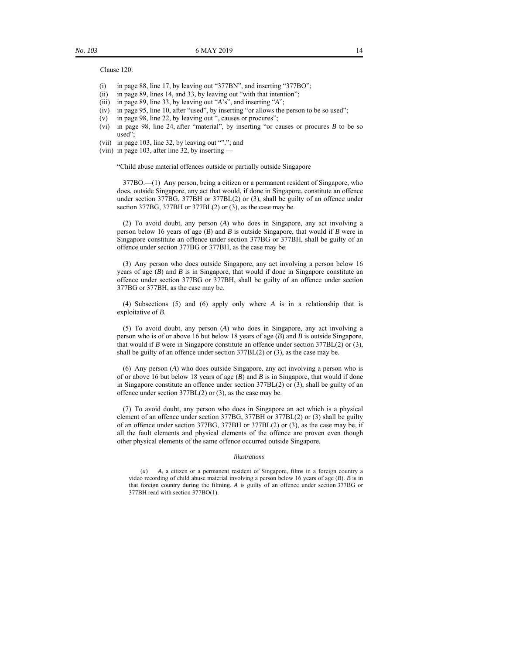Clause 120:

- (i) in page 88, line 17, by leaving out "377BN", and inserting "377BO";
- (ii) in page 89, lines 14, and 33, by leaving out "with that intention";
- (iii) in page 89, line 33, by leaving out "*A*'s", and inserting "*A*";
- (iv) in page 95, line 10, after "used", by inserting "or allows the person to be so used";
- (v) in page 98, line 22, by leaving out ", causes or procures";
- (vi) in page 98, line 24, after "material", by inserting "or causes or procures *B* to be so used";
- (vii) in page 103, line 32, by leaving out ""."; and
- (viii) in page 103, after line 32, by inserting —

"Child abuse material offences outside or partially outside Singapore

377BO.—(1) Any person, being a citizen or a permanent resident of Singapore, who does, outside Singapore, any act that would, if done in Singapore, constitute an offence under section 377BG, 377BH or 377BL(2) or (3), shall be guilty of an offence under section 377BG, 377BH or 377BL(2) or (3), as the case may be.

(2) To avoid doubt, any person (*A*) who does in Singapore, any act involving a person below 16 years of age (*B*) and *B* is outside Singapore, that would if *B* were in Singapore constitute an offence under section 377BG or 377BH, shall be guilty of an offence under section 377BG or 377BH, as the case may be.

(3) Any person who does outside Singapore, any act involving a person below 16 years of age  $(B)$  and  $B$  is in Singapore, that would if done in Singapore constitute an offence under section 377BG or 377BH, shall be guilty of an offence under section 377BG or 377BH, as the case may be.

(4) Subsections (5) and (6) apply only where *A* is in a relationship that is exploitative of *B*.

(5) To avoid doubt, any person (*A*) who does in Singapore, any act involving a person who is of or above 16 but below 18 years of age (*B*) and *B* is outside Singapore, that would if *B* were in Singapore constitute an offence under section 377BL(2) or (3), shall be guilty of an offence under section 377BL(2) or (3), as the case may be.

(6) Any person (*A*) who does outside Singapore, any act involving a person who is of or above 16 but below 18 years of age (*B*) and *B* is in Singapore, that would if done in Singapore constitute an offence under section 377BL(2) or (3), shall be guilty of an offence under section 377BL(2) or (3), as the case may be.

(7) To avoid doubt, any person who does in Singapore an act which is a physical element of an offence under section 377BG, 377BH or 377BL(2) or (3) shall be guilty of an offence under section 377BG, 377BH or 377BL(2) or (3), as the case may be, if all the fault elements and physical elements of the offence are proven even though other physical elements of the same offence occurred outside Singapore.

#### *Illustrations*

(*a*) *A*, a citizen or a permanent resident of Singapore, films in a foreign country a video recording of child abuse material involving a person below 16 years of age (*B*). *B* is in that foreign country during the filming. *A* is guilty of an offence under section 377BG or 377BH read with section 377BO(1).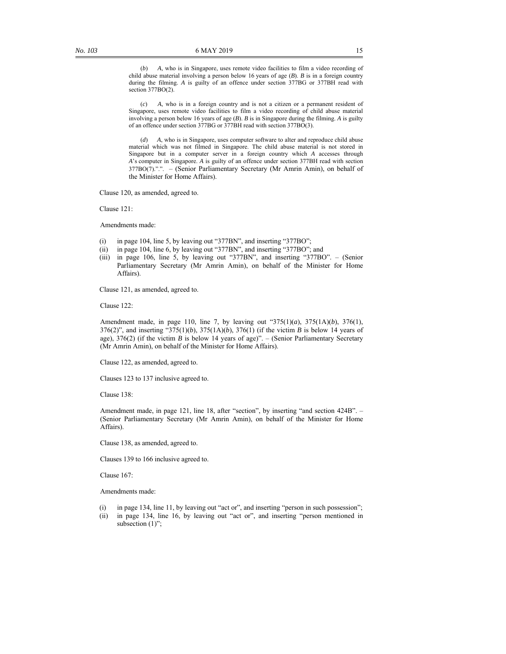(*b*) *A*, who is in Singapore, uses remote video facilities to film a video recording of child abuse material involving a person below 16 years of age (*B*). *B* is in a foreign country during the filming. *A* is guilty of an offence under section 377BG or 377BH read with section 377BO(2).

A, who is in a foreign country and is not a citizen or a permanent resident of Singapore, uses remote video facilities to film a video recording of child abuse material involving a person below 16 years of age (*B*). *B* is in Singapore during the filming. *A* is guilty of an offence under section 377BG or 377BH read with section 377BO(3).

(*d*) *A*, who is in Singapore, uses computer software to alter and reproduce child abuse material which was not filmed in Singapore. The child abuse material is not stored in Singapore but in a computer server in a foreign country which *A* accesses through *A*'s computer in Singapore. *A* is guilty of an offence under section 377BH read with section 377BO(7).".". – (Senior Parliamentary Secretary (Mr Amrin Amin), on behalf of the Minister for Home Affairs).

Clause 120, as amended, agreed to.

Clause 121:

Amendments made:

- (i) in page 104, line 5, by leaving out "377BN", and inserting "377BO";
- (ii) in page 104, line 6, by leaving out "377BN", and inserting "377BO"; and
- (iii) in page 106, line 5, by leaving out "377BN", and inserting "377BO". (Senior Parliamentary Secretary (Mr Amrin Amin), on behalf of the Minister for Home Affairs).

Clause 121, as amended, agreed to.

Clause 122:

Amendment made, in page 110, line 7, by leaving out "375(1)(*a*), 375(1A)(*b*), 376(1), 376(2)", and inserting "375(1)(*b*), 375(1A)(*b*), 376(1) (if the victim *B* is below 14 years of age), 376(2) (if the victim *B* is below 14 years of age)". – (Senior Parliamentary Secretary (Mr Amrin Amin), on behalf of the Minister for Home Affairs).

Clause 122, as amended, agreed to.

Clauses 123 to 137 inclusive agreed to.

Clause 138:

Amendment made, in page 121, line 18, after "section", by inserting "and section 424B". – (Senior Parliamentary Secretary (Mr Amrin Amin), on behalf of the Minister for Home Affairs).

Clause 138, as amended, agreed to.

Clauses 139 to 166 inclusive agreed to.

Clause 167:

Amendments made:

- (i) in page 134, line 11, by leaving out "act or", and inserting "person in such possession";
- (ii) in page 134, line 16, by leaving out "act or", and inserting "person mentioned in subsection  $(1)$ ";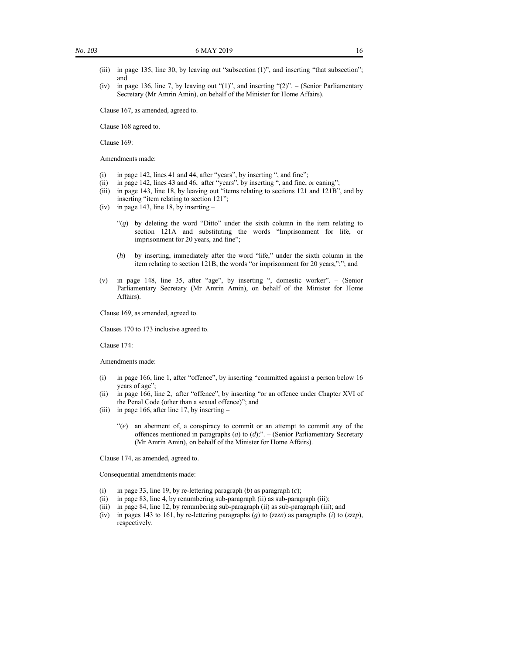- (iii) in page 135, line 30, by leaving out "subsection (1)", and inserting "that subsection"; and
- (iv) in page 136, line 7, by leaving out " $(1)$ ", and inserting " $(2)$ ". (Senior Parliamentary Secretary (Mr Amrin Amin), on behalf of the Minister for Home Affairs).

Clause 167, as amended, agreed to.

Clause 168 agreed to.

Clause 169:

Amendments made:

- (i) in page 142, lines 41 and 44, after "years", by inserting ", and fine";
- (ii) in page 142, lines 43 and 46, after "years", by inserting ", and fine, or caning";
- (iii) in page 143, line 18, by leaving out "items relating to sections 121 and 121B", and by inserting "item relating to section 121";
- (iv) in page 143, line 18, by inserting
	- "(*g*) by deleting the word "Ditto" under the sixth column in the item relating to section 121A and substituting the words "Imprisonment for life, or imprisonment for 20 years, and fine";
	- (*h*) by inserting, immediately after the word "life," under the sixth column in the item relating to section 121B, the words "or imprisonment for 20 years,";"; and
- (v) in page 148, line 35, after "age", by inserting ", domestic worker". (Senior Parliamentary Secretary (Mr Amrin Amin), on behalf of the Minister for Home Affairs).

Clause 169, as amended, agreed to.

Clauses 170 to 173 inclusive agreed to.

Clause 174:

Amendments made:

- (i) in page 166, line 1, after "offence", by inserting "committed against a person below 16 years of age";
- (ii) in page 166, line 2, after "offence", by inserting "or an offence under Chapter XVI of the Penal Code (other than a sexual offence)"; and
- (iii) in page 166, after line 17, by inserting
	- "(*e*) an abetment of, a conspiracy to commit or an attempt to commit any of the offences mentioned in paragraphs (*a*) to (*d*);". – (Senior Parliamentary Secretary (Mr Amrin Amin), on behalf of the Minister for Home Affairs).

Clause 174, as amended, agreed to.

Consequential amendments made:

- (i) in page 33, line 19, by re-lettering paragraph (*b*) as paragraph (*c*);
- (ii) in page 83, line 4, by renumbering sub-paragraph (ii) as sub-paragraph (iii);
- (iii) in page 84, line 12, by renumbering sub-paragraph (ii) as sub-paragraph (iii); and
- (iv) in pages 143 to 161, by re-lettering paragraphs (*g*) to (*zzzn*) as paragraphs (*i*) to (*zzzp*), respectively.